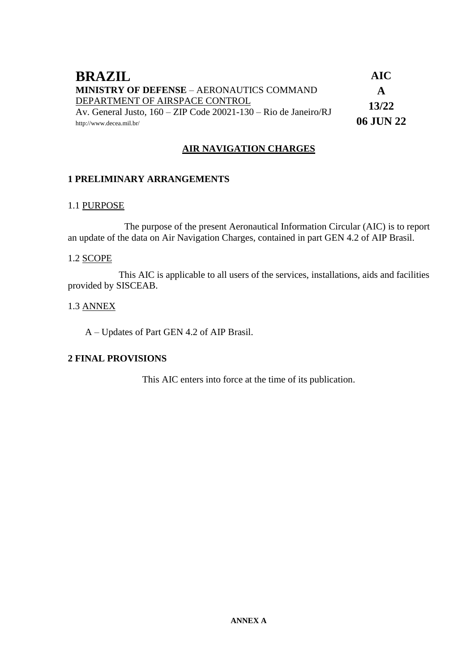| <b>BRAZIL</b>                                                                      | <b>AIC</b>   |
|------------------------------------------------------------------------------------|--------------|
| <b>MINISTRY OF DEFENSE - AERONAUTICS COMMAND</b>                                   | $\mathbf{A}$ |
| DEPARTMENT OF AIRSPACE CONTROL                                                     | 13/22        |
| Av. General Justo, $160 - \text{ZIP Code } 20021 - 130 - \text{Rio de Janeiro/RJ}$ |              |
| http://www.decea.mil.br/                                                           | 06 JUN 22    |

## **AIR NAVIGATION CHARGES**

## **1 PRELIMINARY ARRANGEMENTS**

### 1.1 PURPOSE

The purpose of the present Aeronautical Information Circular (AIC) is to report an update of the data on Air Navigation Charges, contained in part GEN 4.2 of AIP Brasil.

#### 1.2 SCOPE

This AIC is applicable to all users of the services, installations, aids and facilities provided by SISCEAB.

#### 1.3 ANNEX

A – Updates of Part GEN 4.2 of AIP Brasil.

## **2 FINAL PROVISIONS**

This AIC enters into force at the time of its publication.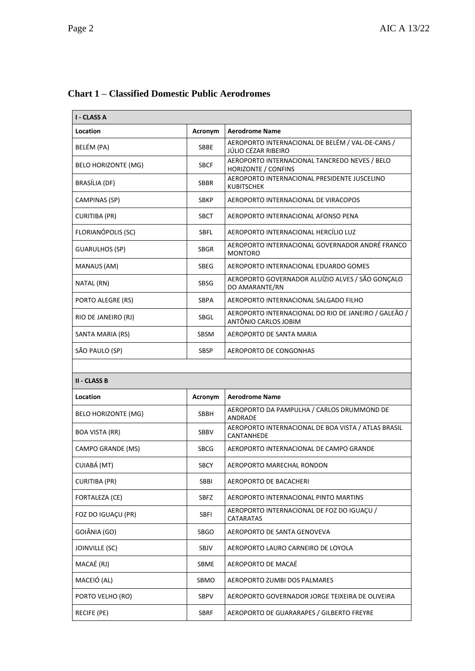| I - CLASS A                |             |                                                                              |
|----------------------------|-------------|------------------------------------------------------------------------------|
| Location                   | Acronym     | <b>Aerodrome Name</b>                                                        |
| BELÉM (PA)                 | <b>SBBE</b> | AEROPORTO INTERNACIONAL DE BELÉM / VAL-DE-CANS /<br>JÚLIO CÉZAR RIBEIRO      |
| <b>BELO HORIZONTE (MG)</b> | <b>SBCF</b> | AEROPORTO INTERNACIONAL TANCREDO NEVES / BELO<br><b>HORIZONTE / CONFINS</b>  |
| BRASÍLIA (DF)              | <b>SBBR</b> | AEROPORTO INTERNACIONAL PRESIDENTE JUSCELINO<br>KUBITSCHEK                   |
| <b>CAMPINAS (SP)</b>       | <b>SBKP</b> | AEROPORTO INTERNACIONAL DE VIRACOPOS                                         |
| <b>CURITIBA (PR)</b>       | <b>SBCT</b> | AEROPORTO INTERNACIONAL AFONSO PENA                                          |
| FLORIANÓPOLIS (SC)         | SBFL        | AEROPORTO INTERNACIONAL HERCÍLIO LUZ                                         |
| <b>GUARULHOS (SP)</b>      | <b>SBGR</b> | AEROPORTO INTERNACIONAL GOVERNADOR ANDRÉ FRANCO<br><b>MONTORO</b>            |
| MANAUS (AM)                | <b>SBEG</b> | AEROPORTO INTERNACIONAL EDUARDO GOMES                                        |
| NATAL (RN)                 | SBSG        | AEROPORTO GOVERNADOR ALUÍZIO ALVES / SÃO GONÇALO<br>DO AMARANTE/RN           |
| PORTO ALEGRE (RS)          | <b>SBPA</b> | AEROPORTO INTERNACIONAL SALGADO FILHO                                        |
| RIO DE JANEIRO (RJ)        | SBGL        | AEROPORTO INTERNACIONAL DO RIO DE JANEIRO / GALEÃO /<br>ANTÔNIO CARLOS JOBIM |
| SANTA MARIA (RS)           | SBSM        | AEROPORTO DE SANTA MARIA                                                     |
| SÃO PAULO (SP)             | SBSP        | AEROPORTO DE CONGONHAS                                                       |
|                            |             |                                                                              |
| <b>II - CLASS B</b>        |             |                                                                              |
| Location                   | Acronym     | <b>Aerodrome Name</b>                                                        |
| <b>BELO HORIZONTE (MG)</b> | SBBH        | AEROPORTO DA PAMPULHA / CARLOS DRUMMOND DE<br>ANDRADE                        |
| <b>BOA VISTA (RR)</b>      | SBBV        | AEROPORTO INTERNACIONAL DE BOA VISTA / ATLAS BRASIL<br>CANTANHEDE            |
| CAMPO GRANDE (MS)          | <b>SBCG</b> | AEROPORTO INTERNACIONAL DE CAMPO GRANDE                                      |
| CUIABÁ (MT)                | SBCY        | AEROPORTO MARECHAL RONDON                                                    |
| <b>CURITIBA (PR)</b>       | SBBI        | AEROPORTO DE BACACHERI                                                       |
| FORTALEZA (CE)             | SBFZ        | AEROPORTO INTERNACIONAL PINTO MARTINS                                        |
| FOZ DO IGUACU (PR)         | <b>SBFI</b> | AEROPORTO INTERNACIONAL DE FOZ DO IGUAÇU /<br>CATARATAS                      |
| GOIÂNIA (GO)               | SBGO        | AEROPORTO DE SANTA GENOVEVA                                                  |
| JOINVILLE (SC)             | SBJV        | AEROPORTO LAURO CARNEIRO DE LOYOLA                                           |
| MACAÉ (RJ)                 | SBME        | AEROPORTO DE MACAÉ                                                           |
| MACEIÓ (AL)                | SBMO        | AEROPORTO ZUMBI DOS PALMARES                                                 |
| PORTO VELHO (RO)           | SBPV        | AEROPORTO GOVERNADOR JORGE TEIXEIRA DE OLIVEIRA                              |
| RECIFE (PE)                | SBRF        | AEROPORTO DE GUARARAPES / GILBERTO FREYRE                                    |

# **Chart 1 – Classified Domestic Public Aerodromes**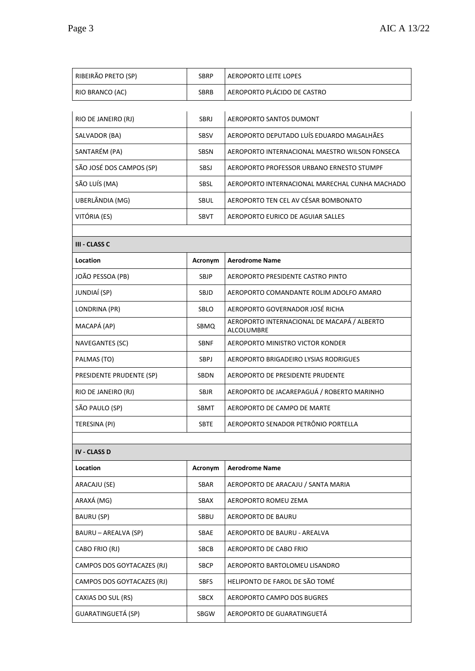| RIBEIRÃO PRETO (SP)        | <b>SBRP</b> | <b>AEROPORTO LEITE LOPES</b>                              |
|----------------------------|-------------|-----------------------------------------------------------|
| RIO BRANCO (AC)            | SBRB        | AEROPORTO PLÁCIDO DE CASTRO                               |
|                            |             |                                                           |
| RIO DE JANEIRO (RJ)        | SBRJ        | AEROPORTO SANTOS DUMONT                                   |
| SALVADOR (BA)              | <b>SBSV</b> | AEROPORTO DEPUTADO LUÍS EDUARDO MAGALHÃES                 |
| SANTARÉM (PA)              | SBSN        | AEROPORTO INTERNACIONAL MAESTRO WILSON FONSECA            |
| SÃO JOSÉ DOS CAMPOS (SP)   | SBSJ        | AEROPORTO PROFESSOR URBANO ERNESTO STUMPF                 |
| SÃO LUÍS (MA)              | SBSL        | AEROPORTO INTERNACIONAL MARECHAL CUNHA MACHADO            |
| UBERLÂNDIA (MG)            | SBUL        | AEROPORTO TEN CEL AV CÉSAR BOMBONATO                      |
| VITÓRIA (ES)               | SBVT        | AEROPORTO EURICO DE AGUIAR SALLES                         |
|                            |             |                                                           |
| III - CLASS C              |             |                                                           |
| Location                   | Acronym     | <b>Aerodrome Name</b>                                     |
| JOÃO PESSOA (PB)           | <b>SBJP</b> | AEROPORTO PRESIDENTE CASTRO PINTO                         |
| JUNDIAÍ (SP)               | SBJD        | AEROPORTO COMANDANTE ROLIM ADOLFO AMARO                   |
| LONDRINA (PR)              | SBLO        | AEROPORTO GOVERNADOR JOSÉ RICHA                           |
| MACAPÁ (AP)                | SBMQ        | AEROPORTO INTERNACIONAL DE MACAPÁ / ALBERTO<br>ALCOLUMBRE |
| <b>NAVEGANTES (SC)</b>     | SBNF        | AEROPORTO MINISTRO VICTOR KONDER                          |
| PALMAS (TO)                | SBPJ        | AEROPORTO BRIGADEIRO LYSIAS RODRIGUES                     |
| PRESIDENTE PRUDENTE (SP)   | SBDN        | AEROPORTO DE PRESIDENTE PRUDENTE                          |
| RIO DE JANEIRO (RJ)        | <b>SBJR</b> | AEROPORTO DE JACAREPAGUÁ / ROBERTO MARINHO                |
| SÃO PAULO (SP)             | SBMT        | AEROPORTO DE CAMPO DE MARTE                               |
| TERESINA (PI)              | SBTE        | AEROPORTO SENADOR PETRÔNIO PORTELLA                       |
|                            |             |                                                           |
| <b>IV - CLASS D</b>        |             |                                                           |
| Location                   | Acronym     | <b>Aerodrome Name</b>                                     |
| ARACAJU (SE)               | SBAR        | AEROPORTO DE ARACAJU / SANTA MARIA                        |
| ARAXÁ (MG)                 | SBAX        | AEROPORTO ROMEU ZEMA                                      |
| BAURU (SP)                 | SBBU        | AEROPORTO DE BAURU                                        |
| BAURU – AREALVA (SP)       | SBAE        | AEROPORTO DE BAURU - AREALVA                              |
| CABO FRIO (RJ)             | <b>SBCB</b> | AEROPORTO DE CABO FRIO                                    |
| CAMPOS DOS GOYTACAZES (RJ) | <b>SBCP</b> | AEROPORTO BARTOLOMEU LISANDRO                             |
| CAMPOS DOS GOYTACAZES (RJ) | <b>SBFS</b> | HELIPONTO DE FAROL DE SÃO TOMÉ                            |
| CAXIAS DO SUL (RS)         | <b>SBCX</b> | AEROPORTO CAMPO DOS BUGRES                                |
| GUARATINGUETÁ (SP)         | SBGW        | AEROPORTO DE GUARATINGUETÁ                                |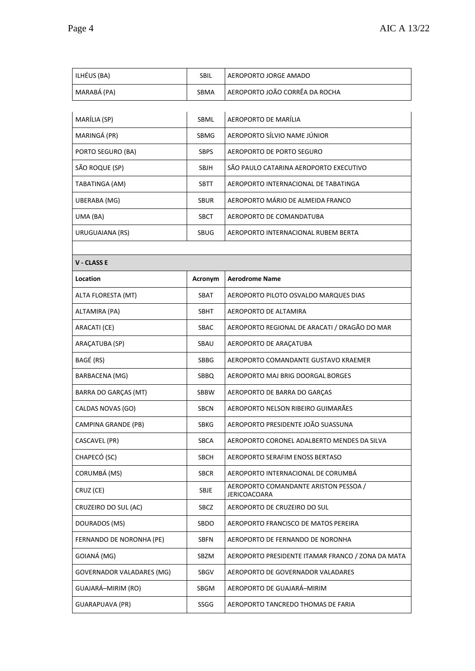| ILHÉUS (BA)               | SBIL        | AEROPORTO JORGE AMADO                                        |
|---------------------------|-------------|--------------------------------------------------------------|
| MARABÁ (PA)               | SBMA        | AEROPORTO JOÃO CORRÊA DA ROCHA                               |
|                           |             |                                                              |
| MARÍLIA (SP)              | SBML        | AEROPORTO DE MARÍLIA                                         |
| MARINGÁ (PR)              | SBMG        | AEROPORTO SÍLVIO NAME JÚNIOR                                 |
| PORTO SEGURO (BA)         | <b>SBPS</b> | <b>AEROPORTO DE PORTO SEGURO</b>                             |
| SÃO ROQUE (SP)            | SBJH        | SÃO PAULO CATARINA AEROPORTO EXECUTIVO                       |
| TABATINGA (AM)            | SBTT        | AEROPORTO INTERNACIONAL DE TABATINGA                         |
| UBERABA (MG)              | <b>SBUR</b> | AEROPORTO MÁRIO DE ALMEIDA FRANCO                            |
| UMA (BA)                  | <b>SBCT</b> | AEROPORTO DE COMANDATUBA                                     |
| URUGUAIANA (RS)           | SBUG        | AEROPORTO INTERNACIONAL RUBEM BERTA                          |
|                           |             |                                                              |
| <b>V - CLASS E</b>        |             |                                                              |
| Location                  | Acronym     | <b>Aerodrome Name</b>                                        |
| ALTA FLORESTA (MT)        | <b>SBAT</b> | AEROPORTO PILOTO OSVALDO MARQUES DIAS                        |
| ALTAMIRA (PA)             | SBHT        | AEROPORTO DE ALTAMIRA                                        |
| ARACATI (CE)              | SBAC        | AEROPORTO REGIONAL DE ARACATI / DRAGÃO DO MAR                |
| ARAÇATUBA (SP)            | SBAU        | AEROPORTO DE ARAÇATUBA                                       |
| BAGÉ (RS)                 | SBBG        | AEROPORTO COMANDANTE GUSTAVO KRAEMER                         |
| BARBACENA (MG)            | SBBQ        | AEROPORTO MAJ BRIG DOORGAL BORGES                            |
| BARRA DO GARÇAS (MT)      | SBBW        | AEROPORTO DE BARRA DO GARÇAS                                 |
| CALDAS NOVAS (GO)         | <b>SBCN</b> | AEROPORTO NELSON RIBEIRO GUIMARÃES                           |
| CAMPINA GRANDE (PB)       | SBKG        | AEROPORTO PRESIDENTE JOÃO SUASSUNA                           |
| CASCAVEL (PR)             | <b>SBCA</b> | AEROPORTO CORONEL ADALBERTO MENDES DA SILVA                  |
| CHAPECÓ (SC)              | <b>SBCH</b> | AEROPORTO SERAFIM ENOSS BERTASO                              |
| CORUMBÁ (MS)              | <b>SBCR</b> | AEROPORTO INTERNACIONAL DE CORUMBÁ                           |
| CRUZ (CE)                 | SBJE        | AEROPORTO COMANDANTE ARISTON PESSOA /<br><b>JERICOACOARA</b> |
| CRUZEIRO DO SUL (AC)      | SBCZ        | AEROPORTO DE CRUZEIRO DO SUL                                 |
| DOURADOS (MS)             | SBDO        | AEROPORTO FRANCISCO DE MATOS PEREIRA                         |
| FERNANDO DE NORONHA (PE)  | <b>SBFN</b> | AEROPORTO DE FERNANDO DE NORONHA                             |
| GOIANÁ (MG)               | SBZM        | AEROPORTO PRESIDENTE ITAMAR FRANCO / ZONA DA MATA            |
| GOVERNADOR VALADARES (MG) | SBGV        | AEROPORTO DE GOVERNADOR VALADARES                            |
| GUAJARÁ-MIRIM (RO)        | SBGM        | AEROPORTO DE GUAJARÁ-MIRIM                                   |
| GUARAPUAVA (PR)           | SSGG        | AEROPORTO TANCREDO THOMAS DE FARIA                           |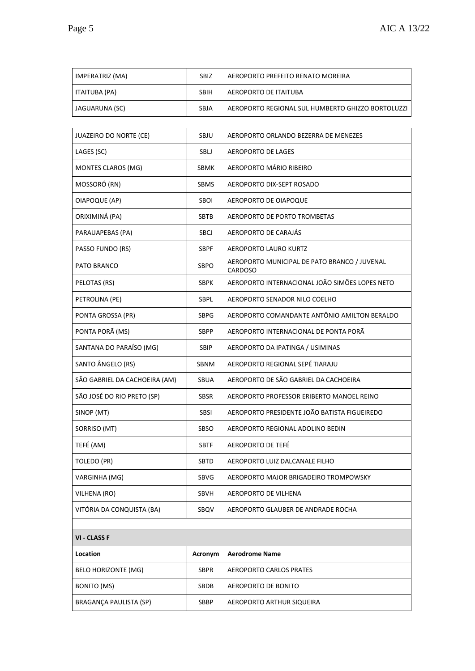| <b>ITAITUBA (PA)</b>          | <b>SBIH</b> | <b>AEROPORTO DE ITAITUBA</b>                            |
|-------------------------------|-------------|---------------------------------------------------------|
| JAGUARUNA (SC)                | SBJA        | AEROPORTO REGIONAL SUL HUMBERTO GHIZZO BORTOLUZZI       |
| JUAZEIRO DO NORTE (CE)        | SBJU        |                                                         |
|                               |             | AEROPORTO ORLANDO BEZERRA DE MENEZES                    |
| LAGES (SC)                    | SBLJ        | AEROPORTO DE LAGES                                      |
| MONTES CLAROS (MG)            | SBMK        | AEROPORTO MÁRIO RIBEIRO                                 |
| MOSSORÓ (RN)                  | <b>SBMS</b> | AEROPORTO DIX-SEPT ROSADO                               |
| OIAPOQUE (AP)                 | SBOI        | AEROPORTO DE OIAPOQUE                                   |
| ORIXIMINÁ (PA)                | SBTB        | AEROPORTO DE PORTO TROMBETAS                            |
| PARAUAPEBAS (PA)              | SBCJ        | AEROPORTO DE CARAJÁS                                    |
| PASSO FUNDO (RS)              | <b>SBPF</b> | <b>AEROPORTO LAURO KURTZ</b>                            |
| PATO BRANCO                   | SBPO        | AEROPORTO MUNICIPAL DE PATO BRANCO / JUVENAL<br>CARDOSO |
| PELOTAS (RS)                  | <b>SBPK</b> | AEROPORTO INTERNACIONAL JOÃO SIMÕES LOPES NETO          |
| PETROLINA (PE)                | <b>SBPL</b> | AEROPORTO SENADOR NILO COELHO                           |
| PONTA GROSSA (PR)             | <b>SBPG</b> | AEROPORTO COMANDANTE ANTÔNIO AMILTON BERALDO            |
| PONTA PORÃ (MS)               | <b>SBPP</b> | AEROPORTO INTERNACIONAL DE PONTA PORÃ                   |
| SANTANA DO PARAÍSO (MG)       | SBIP        | AEROPORTO DA IPATINGA / USIMINAS                        |
| SANTO ÂNGELO (RS)             | <b>SBNM</b> | AEROPORTO REGIONAL SEPÉ TIARAJU                         |
| SÃO GABRIEL DA CACHOEIRA (AM) | SBUA        | AEROPORTO DE SÃO GABRIEL DA CACHOEIRA                   |
| SÃO JOSÉ DO RIO PRETO (SP)    | <b>SBSR</b> | AEROPORTO PROFESSOR ERIBERTO MANOEL REINO               |
| SINOP (MT)                    | SBSI        | AEROPORTO PRESIDENTE JOÃO BATISTA FIGUEIREDO            |
| SORRISO (MT)                  | SBSO        | AEROPORTO REGIONAL ADOLINO BEDIN                        |
| TEFÉ (AM)                     | <b>SBTF</b> | AEROPORTO DE TEFÉ                                       |
| TOLEDO (PR)                   | SBTD        | AEROPORTO LUIZ DALCANALE FILHO                          |
| VARGINHA (MG)                 | SBVG        | AEROPORTO MAJOR BRIGADEIRO TROMPOWSKY                   |
| VILHENA (RO)                  | SBVH        | AEROPORTO DE VILHENA                                    |
| VITÓRIA DA CONQUISTA (BA)     | SBQV        | AEROPORTO GLAUBER DE ANDRADE ROCHA                      |
| <b>VI - CLASS F</b>           |             |                                                         |
| Location                      | Acronym     | <b>Aerodrome Name</b>                                   |
| BELO HORIZONTE (MG)           | <b>SBPR</b> | AEROPORTO CARLOS PRATES                                 |
| <b>BONITO (MS)</b>            | SBDB        | AEROPORTO DE BONITO                                     |

BRAGANÇA PAULISTA (SP) SBBP AEROPORTO ARTHUR SIQUEIRA

IMPERATRIZ (MA)  $\parallel$  SBIZ AEROPORTO PREFEITO RENATO MOREIRA